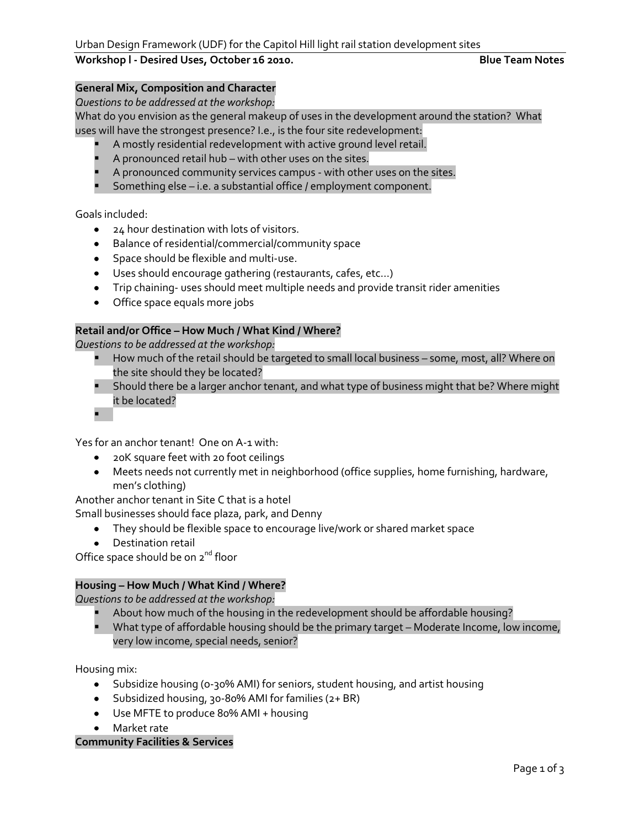## **Workshop l - Desired Uses, October 16 2010. Blue Team Notes**

### **General Mix, Composition and Character**

*Questions to be addressed at the workshop:*

What do you envision as the general makeup of uses in the development around the station? What uses will have the strongest presence? I.e., is the four site redevelopment:

- A mostly residential redevelopment with active ground level retail.
- A pronounced retail hub with other uses on the sites.
- **A** pronounced community services campus with other uses on the sites.
- **Something else i.e. a substantial office / employment component.**

Goals included:

- 24 hour destination with lots of visitors.
- Balance of residential/commercial/community space
- Space should be flexible and multi-use.
- Uses should encourage gathering (restaurants, cafes, etc…)
- Trip chaining- uses should meet multiple needs and provide transit rider amenities
- Office space equals more jobs

## **Retail and/or Office – How Much / What Kind / Where?**

*Questions to be addressed at the workshop:*

- How much of the retail should be targeted to small local business some, most, all? Where on the site should they be located?
- Should there be a larger anchor tenant, and what type of business might that be? Where might it be located?

 $\blacksquare$ 

Yes for an anchor tenant! One on A-1 with:

- 20K square feet with 20 foot ceilings
- Meets needs not currently met in neighborhood (office supplies, home furnishing, hardware, men's clothing)

Another anchor tenant in Site C that is a hotel

Small businesses should face plaza, park, and Denny

- They should be flexible space to encourage live/work or shared market space
- Destination retail

Office space should be on 2<sup>nd</sup> floor

# **Housing – How Much / What Kind / Where?**

*Questions to be addressed at the workshop:*

- **About how much of the housing in the redevelopment should be affordable housing?**
- **What type of affordable housing should be the primary target Moderate Income, low income,** very low income, special needs, senior?

Housing mix:

- Subsidize housing (o-30% AMI) for seniors, student housing, and artist housing
- Subsidized housing, 30-80% AMI for families (2+ BR)
- Use MFTE to produce 80% AMI + housing
- Market rate

# **Community Facilities & Services**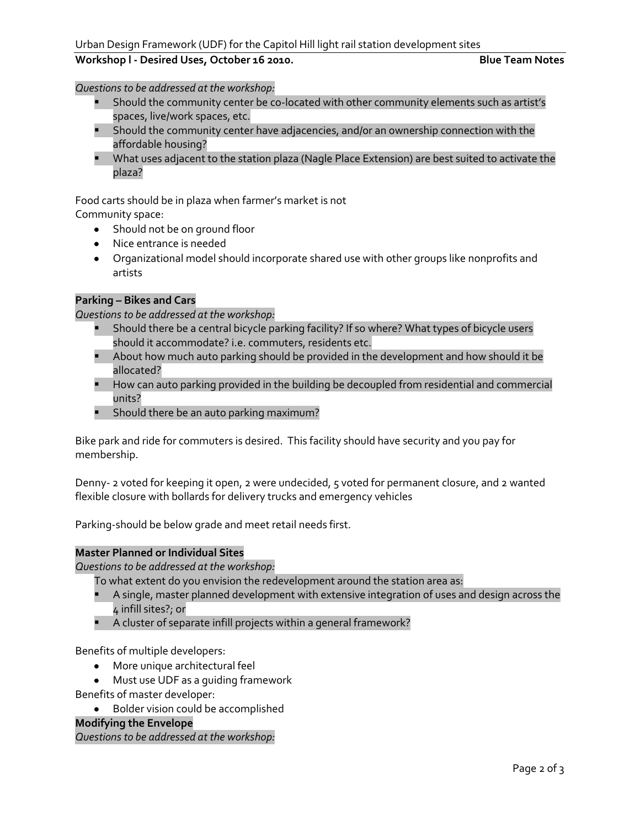### **Workshop l - Desired Uses, October 16 2010. Blue Team Notes**

*Questions to be addressed at the workshop:*

- Should the community center be co-located with other community elements such as artist's spaces, live/work spaces, etc.
- **Should the community center have adjacencies, and/or an ownership connection with the** affordable housing?
- **What uses adjacent to the station plaza (Nagle Place Extension) are best suited to activate the** plaza?

Food carts should be in plaza when farmer's market is not

Community space:

- Should not be on ground floor
- Nice entrance is needed
- Organizational model should incorporate shared use with other groups like nonprofits and artists

#### **Parking – Bikes and Cars**

*Questions to be addressed at the workshop:*

- **Should there be a central bicycle parking facility? If so where? What types of bicycle users** should it accommodate? i.e. commuters, residents etc.
- **About how much auto parking should be provided in the development and how should it be** allocated?
- **How can auto parking provided in the building be decoupled from residential and commercial** units?
- **Should there be an auto parking maximum?**

Bike park and ride for commuters is desired. This facility should have security and you pay for membership.

Denny- 2 voted for keeping it open, 2 were undecided, 5 voted for permanent closure, and 2 wanted flexible closure with bollards for delivery trucks and emergency vehicles

Parking-should be below grade and meet retail needs first.

#### **Master Planned or Individual Sites**

*Questions to be addressed at the workshop:*

- To what extent do you envision the redevelopment around the station area as:
- A single, master planned development with extensive integration of uses and design across the 4 infill sites?; or
- A cluster of separate infill projects within a general framework?

Benefits of multiple developers:

- More unique architectural feel
- Must use UDF as a guiding framework

Benefits of master developer:

Bolder vision could be accomplished

**Modifying the Envelope** 

*Questions to be addressed at the workshop:*